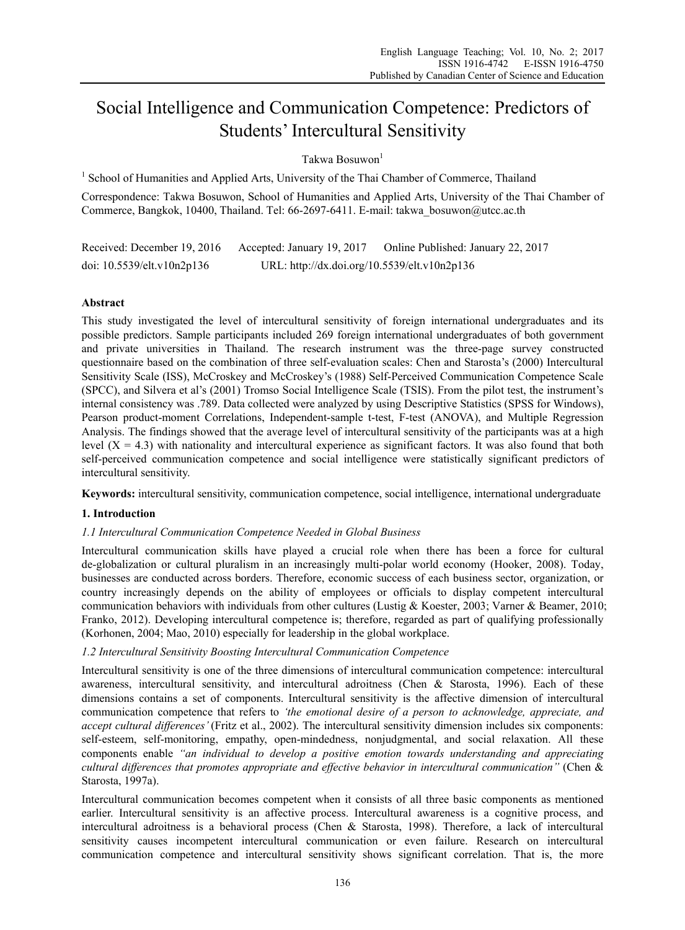# Social Intelligence and Communication Competence: Predictors of Students' Intercultural Sensitivity

Takwa Bosuwon<sup>1</sup>

<sup>1</sup> School of Humanities and Applied Arts, University of the Thai Chamber of Commerce, Thailand

Correspondence: Takwa Bosuwon, School of Humanities and Applied Arts, University of the Thai Chamber of Commerce, Bangkok, 10400, Thailand. Tel: 66-2697-6411. E-mail: takwa\_bosuwon@utcc.ac.th

Received: December 19, 2016 Accepted: January 19, 2017 Online Published: January 22, 2017 doi: 10.5539/elt.v10n2p136 URL: http://dx.doi.org/10.5539/elt.v10n2p136

# **Abstract**

This study investigated the level of intercultural sensitivity of foreign international undergraduates and its possible predictors. Sample participants included 269 foreign international undergraduates of both government and private universities in Thailand. The research instrument was the three-page survey constructed questionnaire based on the combination of three self-evaluation scales: Chen and Starosta's (2000) Intercultural Sensitivity Scale (ISS), McCroskey and McCroskey's (1988) Self-Perceived Communication Competence Scale (SPCC), and Silvera et al's (2001) Tromso Social Intelligence Scale (TSIS). From the pilot test, the instrument's internal consistency was .789. Data collected were analyzed by using Descriptive Statistics (SPSS for Windows), Pearson product-moment Correlations, Independent-sample t-test, F-test (ANOVA), and Multiple Regression Analysis. The findings showed that the average level of intercultural sensitivity of the participants was at a high level  $(X = 4.3)$  with nationality and intercultural experience as significant factors. It was also found that both self-perceived communication competence and social intelligence were statistically significant predictors of intercultural sensitivity.

**Keywords:** intercultural sensitivity, communication competence, social intelligence, international undergraduate

# **1. Introduction**

#### *1.1 Intercultural Communication Competence Needed in Global Business*

Intercultural communication skills have played a crucial role when there has been a force for cultural de-globalization or cultural pluralism in an increasingly multi-polar world economy (Hooker, 2008). Today, businesses are conducted across borders. Therefore, economic success of each business sector, organization, or country increasingly depends on the ability of employees or officials to display competent intercultural communication behaviors with individuals from other cultures (Lustig & Koester, 2003; Varner & Beamer, 2010; Franko, 2012). Developing intercultural competence is; therefore, regarded as part of qualifying professionally (Korhonen, 2004; Mao, 2010) especially for leadership in the global workplace.

#### *1.2 Intercultural Sensitivity Boosting Intercultural Communication Competence*

Intercultural sensitivity is one of the three dimensions of intercultural communication competence: intercultural awareness, intercultural sensitivity, and intercultural adroitness (Chen & Starosta, 1996). Each of these dimensions contains a set of components. Intercultural sensitivity is the affective dimension of intercultural communication competence that refers to *'the emotional desire of a person to acknowledge, appreciate, and accept cultural differences'* (Fritz et al., 2002). The intercultural sensitivity dimension includes six components: self-esteem, self-monitoring, empathy, open-mindedness, nonjudgmental, and social relaxation. All these components enable *"an individual to develop a positive emotion towards understanding and appreciating cultural differences that promotes appropriate and effective behavior in intercultural communication"* (Chen & Starosta, 1997a).

Intercultural communication becomes competent when it consists of all three basic components as mentioned earlier. Intercultural sensitivity is an affective process. Intercultural awareness is a cognitive process, and intercultural adroitness is a behavioral process (Chen & Starosta, 1998). Therefore, a lack of intercultural sensitivity causes incompetent intercultural communication or even failure. Research on intercultural communication competence and intercultural sensitivity shows significant correlation. That is, the more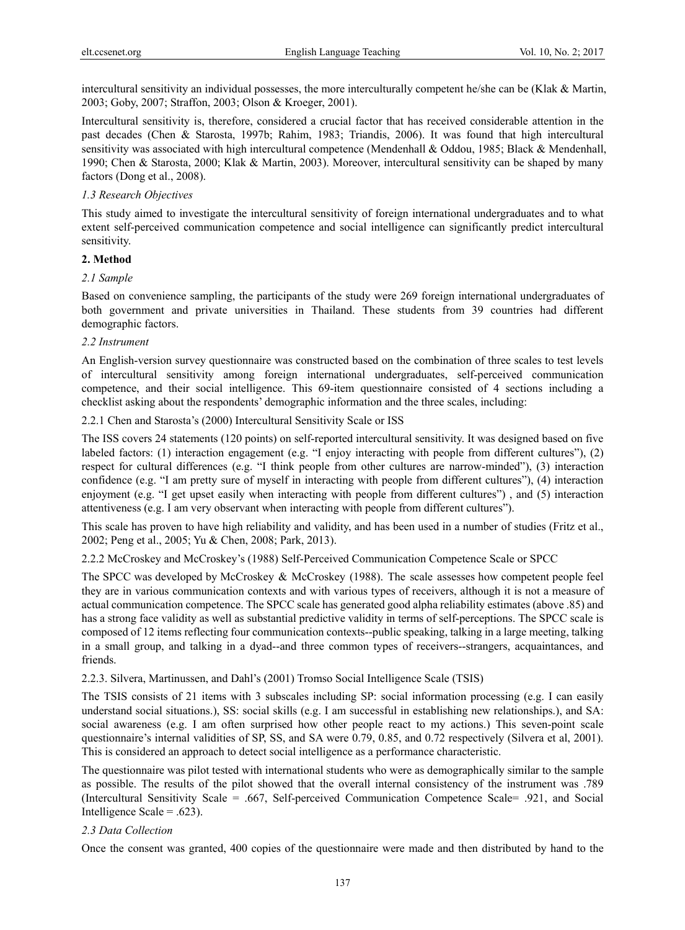intercultural sensitivity an individual possesses, the more interculturally competent he/she can be (Klak & Martin, 2003; Goby, 2007; Straffon, 2003; Olson & Kroeger, 2001).

Intercultural sensitivity is, therefore, considered a crucial factor that has received considerable attention in the past decades (Chen & Starosta, 1997b; Rahim, 1983; Triandis, 2006). It was found that high intercultural sensitivity was associated with high intercultural competence (Mendenhall & Oddou, 1985; Black & Mendenhall, 1990; Chen & Starosta, 2000; Klak & Martin, 2003). Moreover, intercultural sensitivity can be shaped by many factors (Dong et al., 2008).

#### *1.3 Research Objectives*

This study aimed to investigate the intercultural sensitivity of foreign international undergraduates and to what extent self-perceived communication competence and social intelligence can significantly predict intercultural sensitivity.

#### **2. Method**

#### *2.1 Sample*

Based on convenience sampling, the participants of the study were 269 foreign international undergraduates of both government and private universities in Thailand. These students from 39 countries had different demographic factors.

#### *2.2 Instrument*

An English-version survey questionnaire was constructed based on the combination of three scales to test levels of intercultural sensitivity among foreign international undergraduates, self-perceived communication competence, and their social intelligence. This 69-item questionnaire consisted of 4 sections including a checklist asking about the respondents' demographic information and the three scales, including:

2.2.1 Chen and Starosta's (2000) Intercultural Sensitivity Scale or ISS

The ISS covers 24 statements (120 points) on self-reported intercultural sensitivity. It was designed based on five labeled factors: (1) interaction engagement (e.g. "I enjoy interacting with people from different cultures"), (2) respect for cultural differences (e.g. "I think people from other cultures are narrow-minded"), (3) interaction confidence (e.g. "I am pretty sure of myself in interacting with people from different cultures"), (4) interaction enjoyment (e.g. "I get upset easily when interacting with people from different cultures") , and (5) interaction attentiveness (e.g. I am very observant when interacting with people from different cultures").

This scale has proven to have high reliability and validity, and has been used in a number of studies (Fritz et al., 2002; Peng et al., 2005; Yu & Chen, 2008; Park, 2013).

2.2.2 McCroskey and McCroskey's (1988) Self-Perceived Communication Competence Scale or SPCC

The SPCC was developed by McCroskey & McCroskey (1988). The scale assesses how competent people feel they are in various communication contexts and with various types of receivers, although it is not a measure of actual communication competence. The SPCC scale has generated good alpha reliability estimates (above .85) and has a strong face validity as well as substantial predictive validity in terms of self-perceptions. The SPCC scale is composed of 12 items reflecting four communication contexts--public speaking, talking in a large meeting, talking in a small group, and talking in a dyad--and three common types of receivers--strangers, acquaintances, and friends.

2.2.3. Silvera, Martinussen, and Dahl's (2001) Tromso Social Intelligence Scale (TSIS)

The TSIS consists of 21 items with 3 subscales including SP: social information processing (e.g. I can easily understand social situations.), SS: social skills (e.g. I am successful in establishing new relationships.), and SA: social awareness (e.g. I am often surprised how other people react to my actions.) This seven-point scale questionnaire's internal validities of SP, SS, and SA were 0.79, 0.85, and 0.72 respectively (Silvera et al, 2001). This is considered an approach to detect social intelligence as a performance characteristic.

The questionnaire was pilot tested with international students who were as demographically similar to the sample as possible. The results of the pilot showed that the overall internal consistency of the instrument was .789 (Intercultural Sensitivity Scale = .667, Self-perceived Communication Competence Scale= .921, and Social Intelligence Scale =  $.623$ ).

#### *2.3 Data Collection*

Once the consent was granted, 400 copies of the questionnaire were made and then distributed by hand to the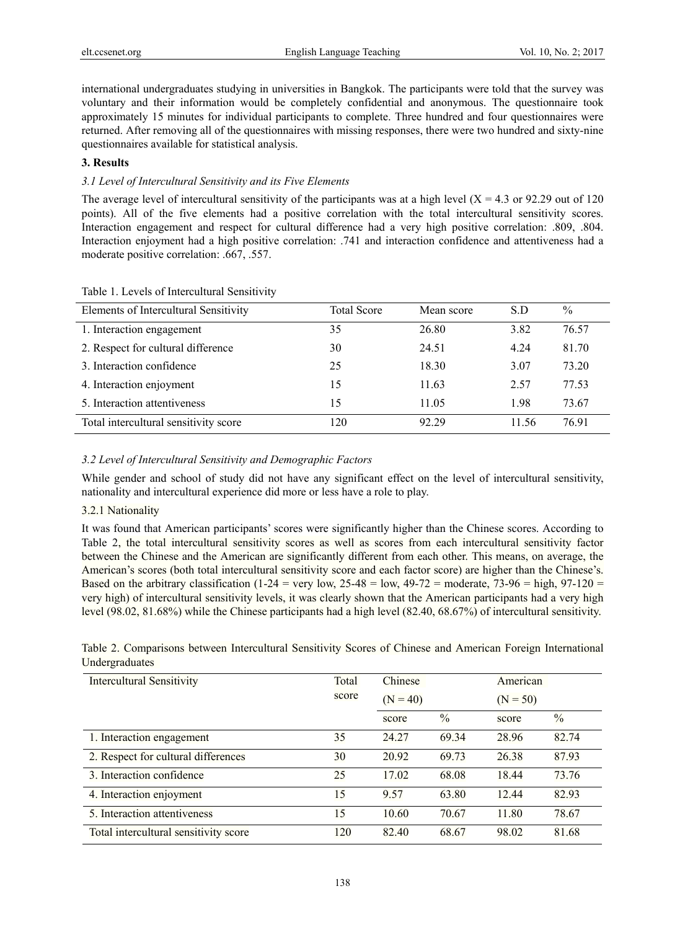international undergraduates studying in universities in Bangkok. The participants were told that the survey was voluntary and their information would be completely confidential and anonymous. The questionnaire took approximately 15 minutes for individual participants to complete. Three hundred and four questionnaires were returned. After removing all of the questionnaires with missing responses, there were two hundred and sixty-nine questionnaires available for statistical analysis.

# **3. Results**

# *3.1 Level of Intercultural Sensitivity and its Five Elements*

The average level of intercultural sensitivity of the participants was at a high level  $(X = 4.3 \text{ or } 92.29 \text{ out of } 120$ points). All of the five elements had a positive correlation with the total intercultural sensitivity scores. Interaction engagement and respect for cultural difference had a very high positive correlation: .809, .804. Interaction enjoyment had a high positive correlation: .741 and interaction confidence and attentiveness had a moderate positive correlation: .667, .557.

| Elements of Intercultural Sensitivity | <b>Total Score</b> | Mean score | S.D   | $\frac{0}{0}$ |
|---------------------------------------|--------------------|------------|-------|---------------|
| 1. Interaction engagement             | 35                 | 26.80      | 3.82  | 76.57         |
| 2. Respect for cultural difference    | 30                 | 24.51      | 4.24  | 81.70         |
| 3. Interaction confidence             | 25                 | 18.30      | 3.07  | 73.20         |
| 4. Interaction enjoyment              | 15                 | 11.63      | 2.57  | 77.53         |
| 5. Interaction attentiveness          | 15                 | 11.05      | 1.98  | 73.67         |
| Total intercultural sensitivity score | 120                | 92.29      | 11.56 | 76.91         |

#### Table 1. Levels of Intercultural Sensitivity

# *3.2 Level of Intercultural Sensitivity and Demographic Factors*

While gender and school of study did not have any significant effect on the level of intercultural sensitivity, nationality and intercultural experience did more or less have a role to play.

#### 3.2.1 Nationality

It was found that American participants' scores were significantly higher than the Chinese scores. According to Table 2, the total intercultural sensitivity scores as well as scores from each intercultural sensitivity factor between the Chinese and the American are significantly different from each other. This means, on average, the American's scores (both total intercultural sensitivity score and each factor score) are higher than the Chinese's. Based on the arbitrary classification (1-24 = very low,  $25-48 = \text{low}$ ,  $49-72 = \text{moderate}$ ,  $73-96 = \text{high}$ ,  $97-120 =$ very high) of intercultural sensitivity levels, it was clearly shown that the American participants had a very high level (98.02, 81.68%) while the Chinese participants had a high level (82.40, 68.67%) of intercultural sensitivity.

|                | Table 2. Comparisons between Intercultural Sensitivity Scores of Chinese and American Foreign International |  |  |  |  |  |
|----------------|-------------------------------------------------------------------------------------------------------------|--|--|--|--|--|
| Undergraduates |                                                                                                             |  |  |  |  |  |

| Intercultural Sensitivity             | Total<br>score | Chinese<br>$(N = 40)$ |               | American<br>$(N = 50)$ |               |  |
|---------------------------------------|----------------|-----------------------|---------------|------------------------|---------------|--|
|                                       |                | score                 | $\frac{0}{0}$ | score                  | $\frac{0}{0}$ |  |
| 1. Interaction engagement             | 35             | 24.27                 | 69.34         | 28.96                  | 82.74         |  |
| 2. Respect for cultural differences   | 30             | 20.92                 | 69.73         | 26.38                  | 87.93         |  |
| 3. Interaction confidence             | 25             | 17.02                 | 68.08         | 18.44                  | 73.76         |  |
| 4. Interaction enjoyment              | 15             | 9.57                  | 63.80         | 12.44                  | 82.93         |  |
| 5. Interaction attentiveness          | 15             | 10.60                 | 70.67         | 11.80                  | 78.67         |  |
| Total intercultural sensitivity score | 120            | 82.40                 | 68.67         | 98.02                  | 81.68         |  |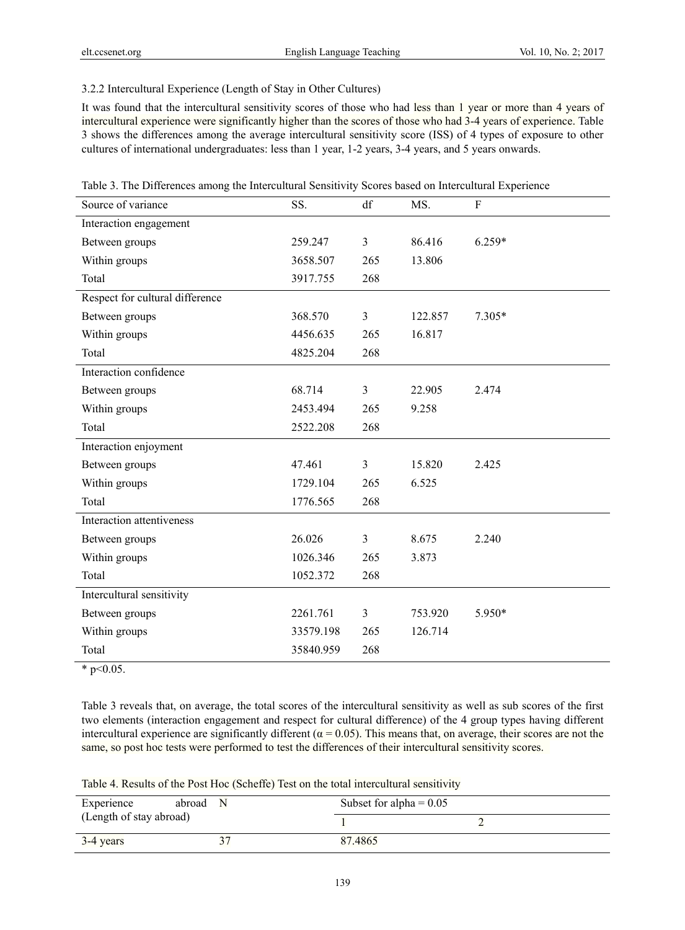3.2.2 Intercultural Experience (Length of Stay in Other Cultures)

It was found that the intercultural sensitivity scores of those who had less than 1 year or more than 4 years of intercultural experience were significantly higher than the scores of those who had 3-4 years of experience. Table 3 shows the differences among the average intercultural sensitivity score (ISS) of 4 types of exposure to other cultures of international undergraduates: less than 1 year, 1-2 years, 3-4 years, and 5 years onwards.

| Source of variance                                                                                                                          | SS.       | df             | MS.     | ${\bf F}$ |
|---------------------------------------------------------------------------------------------------------------------------------------------|-----------|----------------|---------|-----------|
| Interaction engagement                                                                                                                      |           |                |         |           |
| Between groups                                                                                                                              | 259.247   | 3              | 86.416  | $6.259*$  |
| Within groups                                                                                                                               | 3658.507  | 265            | 13.806  |           |
| Total                                                                                                                                       | 3917.755  | 268            |         |           |
| Respect for cultural difference                                                                                                             |           |                |         |           |
| Between groups                                                                                                                              | 368.570   | 3              | 122.857 | $7.305*$  |
| Within groups                                                                                                                               | 4456.635  | 265            | 16.817  |           |
| Total                                                                                                                                       | 4825.204  | 268            |         |           |
| Interaction confidence                                                                                                                      |           |                |         |           |
| Between groups                                                                                                                              | 68.714    | 3              | 22.905  | 2.474     |
| Within groups                                                                                                                               | 2453.494  | 265            | 9.258   |           |
| Total                                                                                                                                       | 2522.208  | 268            |         |           |
| Interaction enjoyment                                                                                                                       |           |                |         |           |
| Between groups                                                                                                                              | 47.461    | $\mathfrak{Z}$ | 15.820  | 2.425     |
| Within groups                                                                                                                               | 1729.104  | 265            | 6.525   |           |
| Total                                                                                                                                       | 1776.565  | 268            |         |           |
| Interaction attentiveness                                                                                                                   |           |                |         |           |
| Between groups                                                                                                                              | 26.026    | 3              | 8.675   | 2.240     |
| Within groups                                                                                                                               | 1026.346  | 265            | 3.873   |           |
| Total                                                                                                                                       | 1052.372  | 268            |         |           |
| Intercultural sensitivity                                                                                                                   |           |                |         |           |
| Between groups                                                                                                                              | 2261.761  | 3              | 753.920 | 5.950*    |
| Within groups                                                                                                                               | 33579.198 | 265            | 126.714 |           |
| Total                                                                                                                                       | 35840.959 | 268            |         |           |
| $\frac{1}{2}$ $\frac{1}{2}$ $\frac{1}{2}$ $\frac{1}{2}$ $\frac{1}{2}$ $\frac{1}{2}$ $\frac{1}{2}$ $\frac{1}{2}$ $\frac{1}{2}$ $\frac{1}{2}$ |           |                |         |           |

Table 3. The Differences among the Intercultural Sensitivity Scores based on Intercultural Experience

 $*$  p<0.05.

Table 3 reveals that, on average, the total scores of the intercultural sensitivity as well as sub scores of the first two elements (interaction engagement and respect for cultural difference) of the 4 group types having different intercultural experience are significantly different ( $\alpha$  = 0.05). This means that, on average, their scores are not the same, so post hoc tests were performed to test the differences of their intercultural sensitivity scores.

Table 4. Results of the Post Hoc (Scheffe) Test on the total intercultural sensitivity

| Experience              | abroad N | Subset for alpha = $0.05$ |  |  |  |
|-------------------------|----------|---------------------------|--|--|--|
| (Length of stay abroad) |          |                           |  |  |  |
| $3-4$ years             |          | 87.4865                   |  |  |  |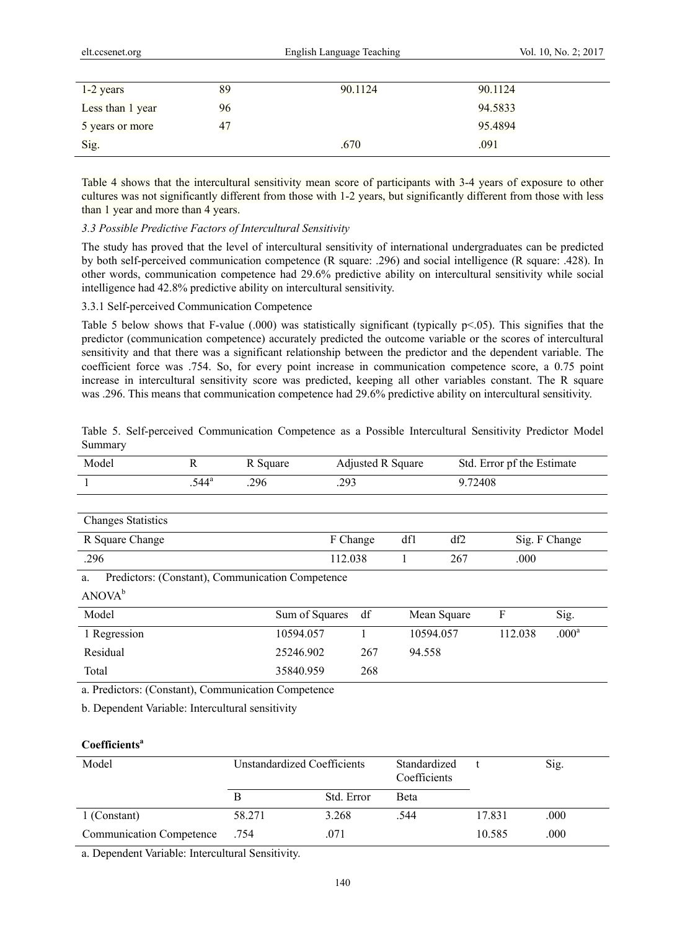| .ccsenet.org |  |
|--------------|--|

| $1-2$ years      | 89 | 90.1124 | 90.1124 |  |
|------------------|----|---------|---------|--|
| Less than 1 year | 96 |         | 94.5833 |  |
| 5 years or more  | 47 |         | 95.4894 |  |
| Sig.             |    | .670    | .091    |  |

Table 4 shows that the intercultural sensitivity mean score of participants with 3-4 years of exposure to other cultures was not significantly different from those with 1-2 years, but significantly different from those with less than 1 year and more than 4 years.

## *3.3 Possible Predictive Factors of Intercultural Sensitivity*

The study has proved that the level of intercultural sensitivity of international undergraduates can be predicted by both self-perceived communication competence (R square: .296) and social intelligence (R square: .428). In other words, communication competence had 29.6% predictive ability on intercultural sensitivity while social intelligence had 42.8% predictive ability on intercultural sensitivity.

## 3.3.1 Self-perceived Communication Competence

Table 5 below shows that F-value (.000) was statistically significant (typically  $p<0.05$ ). This signifies that the predictor (communication competence) accurately predicted the outcome variable or the scores of intercultural sensitivity and that there was a significant relationship between the predictor and the dependent variable. The coefficient force was .754. So, for every point increase in communication competence score, a 0.75 point increase in intercultural sensitivity score was predicted, keeping all other variables constant. The R square was .296. This means that communication competence had 29.6% predictive ability on intercultural sensitivity.

|         | Table 5. Self-perceived Communication Competence as a Possible Intercultural Sensitivity Predictor Model |  |  |  |  |
|---------|----------------------------------------------------------------------------------------------------------|--|--|--|--|
| Summary |                                                                                                          |  |  |  |  |

| Model                     | R              | R Square                                         | Adjusted R Square |           |             | Std. Error pf the Estimate |                   |
|---------------------------|----------------|--------------------------------------------------|-------------------|-----------|-------------|----------------------------|-------------------|
|                           | $.544^{\circ}$ | .296                                             | .293              |           | 9.72408     |                            |                   |
|                           |                |                                                  |                   |           |             |                            |                   |
| <b>Changes Statistics</b> |                |                                                  |                   |           |             |                            |                   |
| R Square Change           |                |                                                  | F Change          | df1       | df2         |                            | Sig. F Change     |
| .296                      |                |                                                  | 112.038           |           | 267         | .000                       |                   |
| a.                        |                | Predictors: (Constant), Communication Competence |                   |           |             |                            |                   |
| ANOVA <sup>b</sup>        |                |                                                  |                   |           |             |                            |                   |
| Model                     |                | Sum of Squares                                   | df                |           | Mean Square | F                          | Sig.              |
| 1 Regression              |                | 10594.057                                        |                   | 10594.057 |             | 112.038                    | .000 <sup>a</sup> |
| Residual                  |                | 25246.902                                        | 267               | 94.558    |             |                            |                   |
| Total                     |                | 35840.959                                        | 268               |           |             |                            |                   |

a. Predictors: (Constant), Communication Competence

b. Dependent Variable: Intercultural sensitivity

# **Coefficients**<sup>a</sup>

| Model                           | <b>Unstandardized Coefficients</b> |            | Standardized<br>Coefficients |        | Sig. |
|---------------------------------|------------------------------------|------------|------------------------------|--------|------|
|                                 | В                                  | Std. Error | <b>B</b> eta                 |        |      |
| 1 (Constant)                    | 58.271                             | 3.268      | .544                         | 17.831 | .000 |
| <b>Communication Competence</b> | .754                               | .071       |                              | 10.585 | .000 |

a. Dependent Variable: Intercultural Sensitivity.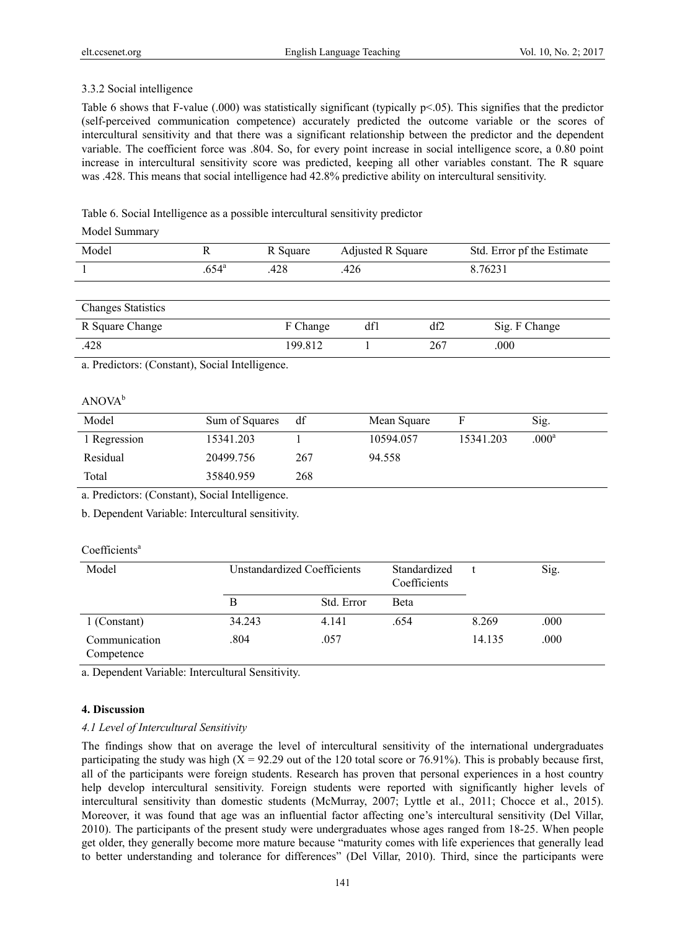# 3.3.2 Social intelligence

Table 6 shows that F-value (.000) was statistically significant (typically  $p<0.05$ ). This signifies that the predictor (self-perceived communication competence) accurately predicted the outcome variable or the scores of intercultural sensitivity and that there was a significant relationship between the predictor and the dependent variable. The coefficient force was .804. So, for every point increase in social intelligence score, a 0.80 point increase in intercultural sensitivity score was predicted, keeping all other variables constant. The R square was .428. This means that social intelligence had 42.8% predictive ability on intercultural sensitivity.

Table 6. Social Intelligence as a possible intercultural sensitivity predictor

## Model Summary

| Model                     |                | R Square | Adjusted R Square | Std. Error pf the Estimate |
|---------------------------|----------------|----------|-------------------|----------------------------|
|                           | $.654^{\circ}$ | .428     | .426              | 8.76231                    |
|                           |                |          |                   |                            |
|                           |                |          |                   |                            |
| <b>Changes Statistics</b> |                |          |                   |                            |
|                           |                |          |                   |                            |

| R Square Change | Change  | df1 | df2 | Sig. F Change |
|-----------------|---------|-----|-----|---------------|
| .428            | 199.812 |     | 267 | .000          |

a. Predictors: (Constant), Social Intelligence.

## ANOVA<sup>b</sup>

| Model        | Sum of Squares | df  | Mean Square | F         | Sig.              |
|--------------|----------------|-----|-------------|-----------|-------------------|
| 1 Regression | 15341.203      |     | 10594.057   | 15341.203 | .000 <sup>a</sup> |
| Residual     | 20499.756      | 267 | 94.558      |           |                   |
| Total        | 35840.959      | 268 |             |           |                   |

a. Predictors: (Constant), Social Intelligence.

b. Dependent Variable: Intercultural sensitivity.

#### Coefficients<sup>a</sup>

| Model                       | Unstandardized Coefficients |            | Standardized<br>Coefficients |        | Sig. |
|-----------------------------|-----------------------------|------------|------------------------------|--------|------|
|                             |                             | Std. Error | Beta                         |        |      |
| 1 (Constant)                | 34.243                      | 4.141      | .654                         | 8.269  | .000 |
| Communication<br>Competence | .804                        | .057       |                              | 14.135 | .000 |

a. Dependent Variable: Intercultural Sensitivity.

#### **4. Discussion**

#### *4.1 Level of Intercultural Sensitivity*

The findings show that on average the level of intercultural sensitivity of the international undergraduates participating the study was high  $(X = 92.29)$  out of the 120 total score or 76.91%). This is probably because first, all of the participants were foreign students. Research has proven that personal experiences in a host country help develop intercultural sensitivity. Foreign students were reported with significantly higher levels of intercultural sensitivity than domestic students (McMurray, 2007; Lyttle et al., 2011; Chocce et al., 2015). Moreover, it was found that age was an influential factor affecting one's intercultural sensitivity (Del Villar, 2010). The participants of the present study were undergraduates whose ages ranged from 18-25. When people get older, they generally become more mature because "maturity comes with life experiences that generally lead to better understanding and tolerance for differences" (Del Villar, 2010). Third, since the participants were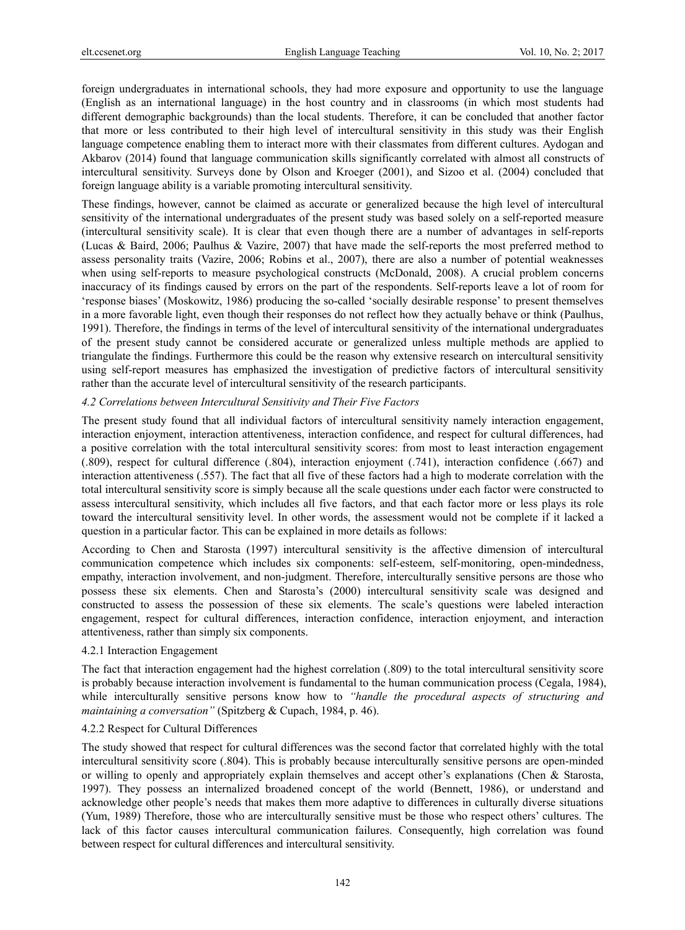foreign undergraduates in international schools, they had more exposure and opportunity to use the language (English as an international language) in the host country and in classrooms (in which most students had different demographic backgrounds) than the local students. Therefore, it can be concluded that another factor that more or less contributed to their high level of intercultural sensitivity in this study was their English language competence enabling them to interact more with their classmates from different cultures. Aydogan and Akbarov (2014) found that language communication skills significantly correlated with almost all constructs of intercultural sensitivity. Surveys done by Olson and Kroeger (2001), and Sizoo et al. (2004) concluded that foreign language ability is a variable promoting intercultural sensitivity.

These findings, however, cannot be claimed as accurate or generalized because the high level of intercultural sensitivity of the international undergraduates of the present study was based solely on a self-reported measure (intercultural sensitivity scale). It is clear that even though there are a number of advantages in self-reports (Lucas & Baird, 2006; Paulhus & Vazire, 2007) that have made the self-reports the most preferred method to assess personality traits (Vazire, 2006; Robins et al., 2007), there are also a number of potential weaknesses when using self-reports to measure psychological constructs (McDonald, 2008). A crucial problem concerns inaccuracy of its findings caused by errors on the part of the respondents. Self-reports leave a lot of room for 'response biases' (Moskowitz, 1986) producing the so-called 'socially desirable response' to present themselves in a more favorable light, even though their responses do not reflect how they actually behave or think (Paulhus, 1991). Therefore, the findings in terms of the level of intercultural sensitivity of the international undergraduates of the present study cannot be considered accurate or generalized unless multiple methods are applied to triangulate the findings. Furthermore this could be the reason why extensive research on intercultural sensitivity using self-report measures has emphasized the investigation of predictive factors of intercultural sensitivity rather than the accurate level of intercultural sensitivity of the research participants.

## *4.2 Correlations between Intercultural Sensitivity and Their Five Factors*

The present study found that all individual factors of intercultural sensitivity namely interaction engagement, interaction enjoyment, interaction attentiveness, interaction confidence, and respect for cultural differences, had a positive correlation with the total intercultural sensitivity scores: from most to least interaction engagement (.809), respect for cultural difference (.804), interaction enjoyment (.741), interaction confidence (.667) and interaction attentiveness (.557). The fact that all five of these factors had a high to moderate correlation with the total intercultural sensitivity score is simply because all the scale questions under each factor were constructed to assess intercultural sensitivity, which includes all five factors, and that each factor more or less plays its role toward the intercultural sensitivity level. In other words, the assessment would not be complete if it lacked a question in a particular factor. This can be explained in more details as follows:

According to Chen and Starosta (1997) intercultural sensitivity is the affective dimension of intercultural communication competence which includes six components: self-esteem, self-monitoring, open-mindedness, empathy, interaction involvement, and non-judgment. Therefore, interculturally sensitive persons are those who possess these six elements. Chen and Starosta's (2000) intercultural sensitivity scale was designed and constructed to assess the possession of these six elements. The scale's questions were labeled interaction engagement, respect for cultural differences, interaction confidence, interaction enjoyment, and interaction attentiveness, rather than simply six components.

#### 4.2.1 Interaction Engagement

The fact that interaction engagement had the highest correlation (.809) to the total intercultural sensitivity score is probably because interaction involvement is fundamental to the human communication process (Cegala, 1984), while interculturally sensitive persons know how to *"handle the procedural aspects of structuring and maintaining a conversation"* (Spitzberg & Cupach, 1984, p. 46).

# 4.2.2 Respect for Cultural Differences

The study showed that respect for cultural differences was the second factor that correlated highly with the total intercultural sensitivity score (.804). This is probably because interculturally sensitive persons are open-minded or willing to openly and appropriately explain themselves and accept other's explanations (Chen & Starosta, 1997). They possess an internalized broadened concept of the world (Bennett, 1986), or understand and acknowledge other people's needs that makes them more adaptive to differences in culturally diverse situations (Yum, 1989) Therefore, those who are interculturally sensitive must be those who respect others' cultures. The lack of this factor causes intercultural communication failures. Consequently, high correlation was found between respect for cultural differences and intercultural sensitivity.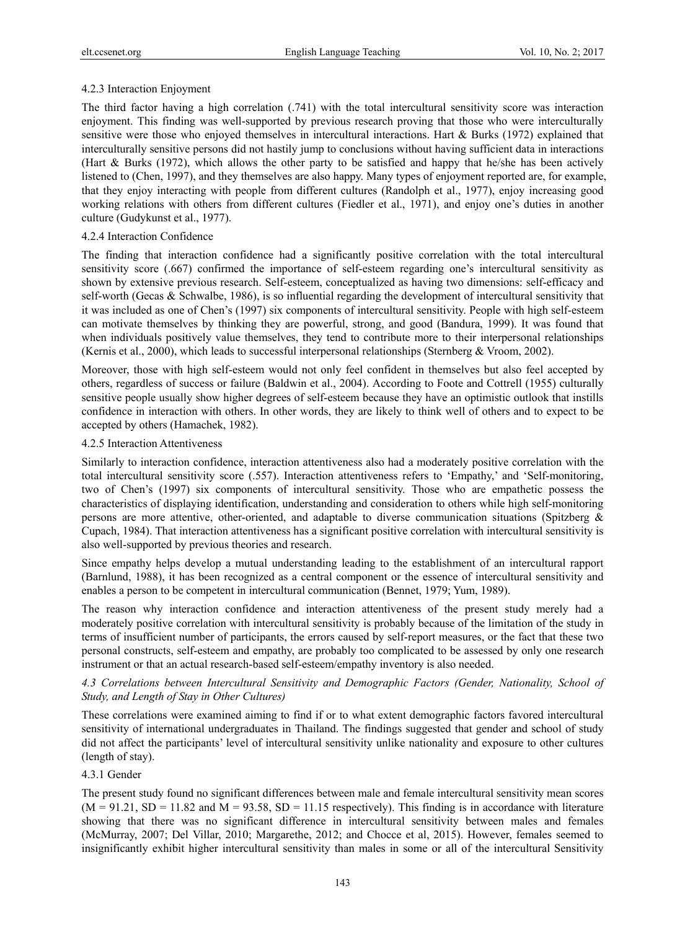# 4.2.3 Interaction Enjoyment

The third factor having a high correlation (.741) with the total intercultural sensitivity score was interaction enjoyment. This finding was well-supported by previous research proving that those who were interculturally sensitive were those who enjoyed themselves in intercultural interactions. Hart & Burks (1972) explained that interculturally sensitive persons did not hastily jump to conclusions without having sufficient data in interactions (Hart & Burks (1972), which allows the other party to be satisfied and happy that he/she has been actively listened to (Chen, 1997), and they themselves are also happy. Many types of enjoyment reported are, for example, that they enjoy interacting with people from different cultures (Randolph et al., 1977), enjoy increasing good working relations with others from different cultures (Fiedler et al., 1971), and enjoy one's duties in another culture (Gudykunst et al., 1977).

## 4.2.4 Interaction Confidence

The finding that interaction confidence had a significantly positive correlation with the total intercultural sensitivity score (.667) confirmed the importance of self-esteem regarding one's intercultural sensitivity as shown by extensive previous research. Self-esteem, conceptualized as having two dimensions: self-efficacy and self-worth (Gecas & Schwalbe, 1986), is so influential regarding the development of intercultural sensitivity that it was included as one of Chen's (1997) six components of intercultural sensitivity. People with high self-esteem can motivate themselves by thinking they are powerful, strong, and good (Bandura, 1999). It was found that when individuals positively value themselves, they tend to contribute more to their interpersonal relationships (Kernis et al., 2000), which leads to successful interpersonal relationships (Sternberg & Vroom, 2002).

Moreover, those with high self-esteem would not only feel confident in themselves but also feel accepted by others, regardless of success or failure (Baldwin et al., 2004). According to Foote and Cottrell (1955) culturally sensitive people usually show higher degrees of self-esteem because they have an optimistic outlook that instills confidence in interaction with others. In other words, they are likely to think well of others and to expect to be accepted by others (Hamachek, 1982).

## 4.2.5 Interaction Attentiveness

Similarly to interaction confidence, interaction attentiveness also had a moderately positive correlation with the total intercultural sensitivity score (.557). Interaction attentiveness refers to 'Empathy,' and 'Self-monitoring, two of Chen's (1997) six components of intercultural sensitivity. Those who are empathetic possess the characteristics of displaying identification, understanding and consideration to others while high self-monitoring persons are more attentive, other-oriented, and adaptable to diverse communication situations (Spitzberg & Cupach, 1984). That interaction attentiveness has a significant positive correlation with intercultural sensitivity is also well-supported by previous theories and research.

Since empathy helps develop a mutual understanding leading to the establishment of an intercultural rapport (Barnlund, 1988), it has been recognized as a central component or the essence of intercultural sensitivity and enables a person to be competent in intercultural communication (Bennet, 1979; Yum, 1989).

The reason why interaction confidence and interaction attentiveness of the present study merely had a moderately positive correlation with intercultural sensitivity is probably because of the limitation of the study in terms of insufficient number of participants, the errors caused by self-report measures, or the fact that these two personal constructs, self-esteem and empathy, are probably too complicated to be assessed by only one research instrument or that an actual research-based self-esteem/empathy inventory is also needed.

# *4.3 Correlations between Intercultural Sensitivity and Demographic Factors (Gender, Nationality, School of Study, and Length of Stay in Other Cultures)*

These correlations were examined aiming to find if or to what extent demographic factors favored intercultural sensitivity of international undergraduates in Thailand. The findings suggested that gender and school of study did not affect the participants' level of intercultural sensitivity unlike nationality and exposure to other cultures (length of stay).

# 4.3.1 Gender

The present study found no significant differences between male and female intercultural sensitivity mean scores  $(M = 91.21, SD = 11.82$  and  $M = 93.58, SD = 11.15$  respectively). This finding is in accordance with literature showing that there was no significant difference in intercultural sensitivity between males and females (McMurray, 2007; Del Villar, 2010; Margarethe, 2012; and Chocce et al, 2015). However, females seemed to insignificantly exhibit higher intercultural sensitivity than males in some or all of the intercultural Sensitivity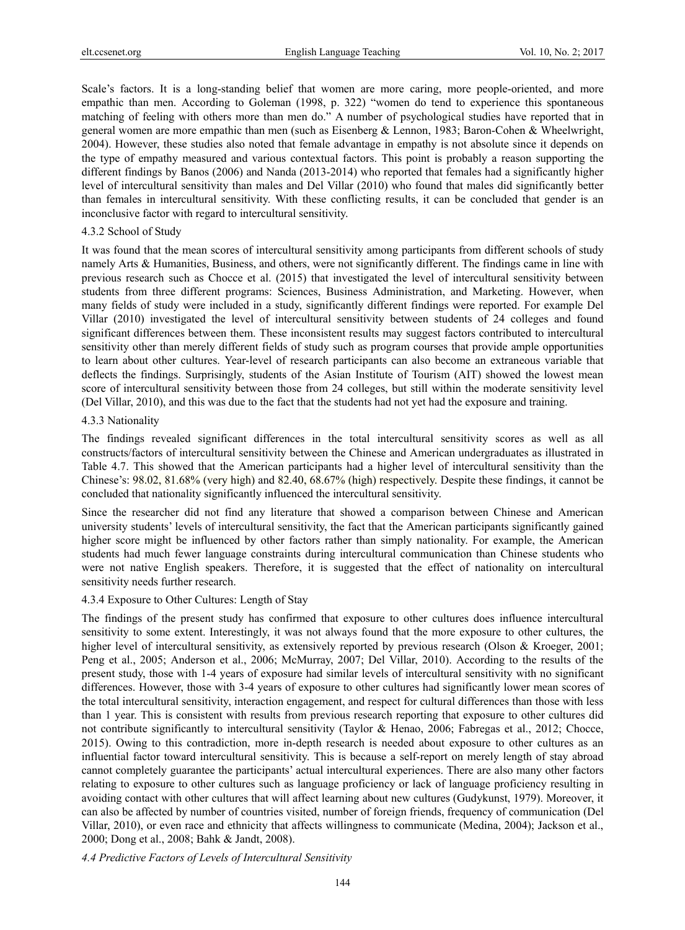Scale's factors. It is a long-standing belief that women are more caring, more people-oriented, and more empathic than men. According to Goleman (1998, p. 322) "women do tend to experience this spontaneous matching of feeling with others more than men do." A number of psychological studies have reported that in general women are more empathic than men (such as Eisenberg & Lennon, 1983; Baron-Cohen & Wheelwright, 2004). However, these studies also noted that female advantage in empathy is not absolute since it depends on the type of empathy measured and various contextual factors. This point is probably a reason supporting the different findings by Banos (2006) and Nanda (2013-2014) who reported that females had a significantly higher level of intercultural sensitivity than males and Del Villar (2010) who found that males did significantly better than females in intercultural sensitivity. With these conflicting results, it can be concluded that gender is an inconclusive factor with regard to intercultural sensitivity.

#### 4.3.2 School of Study

It was found that the mean scores of intercultural sensitivity among participants from different schools of study namely Arts & Humanities, Business, and others, were not significantly different. The findings came in line with previous research such as Chocce et al. (2015) that investigated the level of intercultural sensitivity between students from three different programs: Sciences, Business Administration, and Marketing. However, when many fields of study were included in a study, significantly different findings were reported. For example Del Villar (2010) investigated the level of intercultural sensitivity between students of 24 colleges and found significant differences between them. These inconsistent results may suggest factors contributed to intercultural sensitivity other than merely different fields of study such as program courses that provide ample opportunities to learn about other cultures. Year-level of research participants can also become an extraneous variable that deflects the findings. Surprisingly, students of the Asian Institute of Tourism (AIT) showed the lowest mean score of intercultural sensitivity between those from 24 colleges, but still within the moderate sensitivity level (Del Villar, 2010), and this was due to the fact that the students had not yet had the exposure and training.

#### 4.3.3 Nationality

The findings revealed significant differences in the total intercultural sensitivity scores as well as all constructs/factors of intercultural sensitivity between the Chinese and American undergraduates as illustrated in Table 4.7. This showed that the American participants had a higher level of intercultural sensitivity than the Chinese's: 98.02, 81.68% (very high) and 82.40, 68.67% (high) respectively. Despite these findings, it cannot be concluded that nationality significantly influenced the intercultural sensitivity.

Since the researcher did not find any literature that showed a comparison between Chinese and American university students' levels of intercultural sensitivity, the fact that the American participants significantly gained higher score might be influenced by other factors rather than simply nationality. For example, the American students had much fewer language constraints during intercultural communication than Chinese students who were not native English speakers. Therefore, it is suggested that the effect of nationality on intercultural sensitivity needs further research.

#### 4.3.4 Exposure to Other Cultures: Length of Stay

The findings of the present study has confirmed that exposure to other cultures does influence intercultural sensitivity to some extent. Interestingly, it was not always found that the more exposure to other cultures, the higher level of intercultural sensitivity, as extensively reported by previous research (Olson & Kroeger, 2001; Peng et al., 2005; Anderson et al., 2006; McMurray, 2007; Del Villar, 2010). According to the results of the present study, those with 1-4 years of exposure had similar levels of intercultural sensitivity with no significant differences. However, those with 3-4 years of exposure to other cultures had significantly lower mean scores of the total intercultural sensitivity, interaction engagement, and respect for cultural differences than those with less than 1 year. This is consistent with results from previous research reporting that exposure to other cultures did not contribute significantly to intercultural sensitivity (Taylor & Henao, 2006; Fabregas et al., 2012; Chocce, 2015). Owing to this contradiction, more in-depth research is needed about exposure to other cultures as an influential factor toward intercultural sensitivity. This is because a self-report on merely length of stay abroad cannot completely guarantee the participants' actual intercultural experiences. There are also many other factors relating to exposure to other cultures such as language proficiency or lack of language proficiency resulting in avoiding contact with other cultures that will affect learning about new cultures (Gudykunst, 1979). Moreover, it can also be affected by number of countries visited, number of foreign friends, frequency of communication (Del Villar, 2010), or even race and ethnicity that affects willingness to communicate (Medina, 2004); Jackson et al., 2000; Dong et al., 2008; Bahk & Jandt, 2008).

*4.4 Predictive Factors of Levels of Intercultural Sensitivity*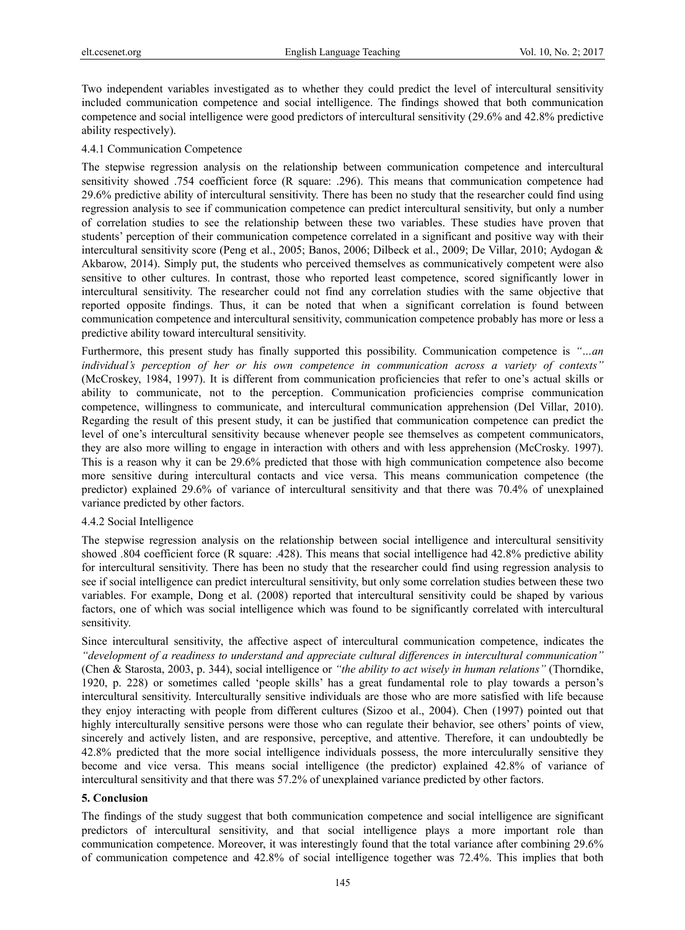Two independent variables investigated as to whether they could predict the level of intercultural sensitivity included communication competence and social intelligence. The findings showed that both communication competence and social intelligence were good predictors of intercultural sensitivity (29.6% and 42.8% predictive ability respectively).

#### 4.4.1 Communication Competence

The stepwise regression analysis on the relationship between communication competence and intercultural sensitivity showed .754 coefficient force (R square: .296). This means that communication competence had 29.6% predictive ability of intercultural sensitivity. There has been no study that the researcher could find using regression analysis to see if communication competence can predict intercultural sensitivity, but only a number of correlation studies to see the relationship between these two variables. These studies have proven that students' perception of their communication competence correlated in a significant and positive way with their intercultural sensitivity score (Peng et al., 2005; Banos, 2006; Dilbeck et al., 2009; De Villar, 2010; Aydogan & Akbarow, 2014). Simply put, the students who perceived themselves as communicatively competent were also sensitive to other cultures. In contrast, those who reported least competence, scored significantly lower in intercultural sensitivity. The researcher could not find any correlation studies with the same objective that reported opposite findings. Thus, it can be noted that when a significant correlation is found between communication competence and intercultural sensitivity, communication competence probably has more or less a predictive ability toward intercultural sensitivity.

Furthermore, this present study has finally supported this possibility. Communication competence is *"…an individual's perception of her or his own competence in communication across a variety of contexts"* (McCroskey, 1984, 1997). It is different from communication proficiencies that refer to one's actual skills or ability to communicate, not to the perception. Communication proficiencies comprise communication competence, willingness to communicate, and intercultural communication apprehension (Del Villar, 2010). Regarding the result of this present study, it can be justified that communication competence can predict the level of one's intercultural sensitivity because whenever people see themselves as competent communicators, they are also more willing to engage in interaction with others and with less apprehension (McCrosky. 1997). This is a reason why it can be 29.6% predicted that those with high communication competence also become more sensitive during intercultural contacts and vice versa. This means communication competence (the predictor) explained 29.6% of variance of intercultural sensitivity and that there was 70.4% of unexplained variance predicted by other factors.

#### 4.4.2 Social Intelligence

The stepwise regression analysis on the relationship between social intelligence and intercultural sensitivity showed .804 coefficient force (R square: .428). This means that social intelligence had 42.8% predictive ability for intercultural sensitivity. There has been no study that the researcher could find using regression analysis to see if social intelligence can predict intercultural sensitivity, but only some correlation studies between these two variables. For example, Dong et al. (2008) reported that intercultural sensitivity could be shaped by various factors, one of which was social intelligence which was found to be significantly correlated with intercultural sensitivity.

Since intercultural sensitivity, the affective aspect of intercultural communication competence, indicates the *"development of a readiness to understand and appreciate cultural differences in intercultural communication"* (Chen & Starosta, 2003, p. 344), social intelligence or *"the ability to act wisely in human relations"* (Thorndike, 1920, p. 228) or sometimes called 'people skills' has a great fundamental role to play towards a person's intercultural sensitivity. Interculturally sensitive individuals are those who are more satisfied with life because they enjoy interacting with people from different cultures (Sizoo et al., 2004). Chen (1997) pointed out that highly interculturally sensitive persons were those who can regulate their behavior, see others' points of view, sincerely and actively listen, and are responsive, perceptive, and attentive. Therefore, it can undoubtedly be 42.8% predicted that the more social intelligence individuals possess, the more interculurally sensitive they become and vice versa. This means social intelligence (the predictor) explained 42.8% of variance of intercultural sensitivity and that there was 57.2% of unexplained variance predicted by other factors.

## **5. Conclusion**

The findings of the study suggest that both communication competence and social intelligence are significant predictors of intercultural sensitivity, and that social intelligence plays a more important role than communication competence. Moreover, it was interestingly found that the total variance after combining 29.6% of communication competence and 42.8% of social intelligence together was 72.4%. This implies that both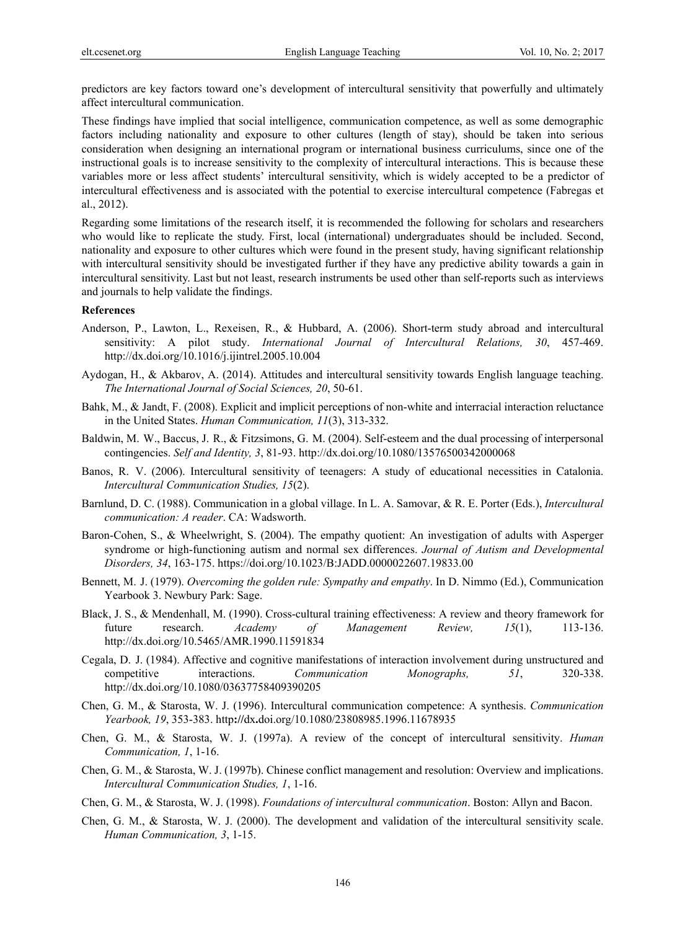predictors are key factors toward one's development of intercultural sensitivity that powerfully and ultimately affect intercultural communication.

These findings have implied that social intelligence, communication competence, as well as some demographic factors including nationality and exposure to other cultures (length of stay), should be taken into serious consideration when designing an international program or international business curriculums, since one of the instructional goals is to increase sensitivity to the complexity of intercultural interactions. This is because these variables more or less affect students' intercultural sensitivity, which is widely accepted to be a predictor of intercultural effectiveness and is associated with the potential to exercise intercultural competence (Fabregas et al., 2012).

Regarding some limitations of the research itself, it is recommended the following for scholars and researchers who would like to replicate the study. First, local (international) undergraduates should be included. Second, nationality and exposure to other cultures which were found in the present study, having significant relationship with intercultural sensitivity should be investigated further if they have any predictive ability towards a gain in intercultural sensitivity. Last but not least, research instruments be used other than self-reports such as interviews and journals to help validate the findings.

# **References**

- Anderson, P., Lawton, L., Rexeisen, R., & Hubbard, A. (2006). Short-term study abroad and intercultural sensitivity: A pilot study. *International Journal of Intercultural Relations, 30*, 457-469. http://dx.doi.org/10.1016/j.ijintrel.2005.10.004
- Aydogan, H., & Akbarov, A. (2014). Attitudes and intercultural sensitivity towards English language teaching. *The International Journal of Social Sciences, 20*, 50-61.
- Bahk, M., & Jandt, F. (2008). Explicit and implicit perceptions of non-white and interracial interaction reluctance in the United States. *Human Communication, 11*(3), 313-332.
- Baldwin, M. W., Baccus, J. R., & Fitzsimons, G. M. (2004). Self-esteem and the dual processing of interpersonal contingencies. *Self and Identity, 3*, 81-93. http://dx.doi.org/10.1080/13576500342000068
- Banos, R. V. (2006). Intercultural sensitivity of teenagers: A study of educational necessities in Catalonia. *Intercultural Communication Studies, 15*(2).
- Barnlund, D. C. (1988). Communication in a global village. In L. A. Samovar, & R. E. Porter (Eds.), *Intercultural communication: A reader*. CA: Wadsworth.
- Baron-Cohen, S., & Wheelwright, S. (2004). The empathy quotient: An investigation of adults with Asperger syndrome or high-functioning autism and normal sex differences. *Journal of Autism and Developmental Disorders, 34*, 163-175. https://doi.org/10.1023/B:JADD.0000022607.19833.00
- Bennett, M. J. (1979). *Overcoming the golden rule: Sympathy and empathy*. In D. Nimmo (Ed.), Communication Yearbook 3. Newbury Park: Sage.
- Black, J. S., & Mendenhall, M. (1990). Cross-cultural training effectiveness: A review and theory framework for future research. *Academy of Management Review, 15*(1), 113-136. http://dx.doi.org/10.5465/AMR.1990.11591834
- Cegala, D. J. (1984). Affective and cognitive manifestations of interaction involvement during unstructured and competitive interactions. *Communication Monographs, 51*, 320-338. http://dx.doi.org/10.1080/03637758409390205
- Chen, G. M., & Starosta, W. J. (1996). Intercultural communication competence: A synthesis. *Communication Yearbook, 19*, 353-383. http**://**dx**.**doi.org/10.1080/23808985.1996.11678935
- Chen, G. M., & Starosta, W. J. (1997a). A review of the concept of intercultural sensitivity. *Human Communication, 1*, 1-16.
- Chen, G. M., & Starosta, W. J. (1997b). Chinese conflict management and resolution: Overview and implications. *Intercultural Communication Studies, 1*, 1-16.
- Chen, G. M., & Starosta, W. J. (1998). *Foundations of intercultural communication*. Boston: Allyn and Bacon.
- Chen, G. M., & Starosta, W. J. (2000). The development and validation of the intercultural sensitivity scale. *Human Communication, 3*, 1-15.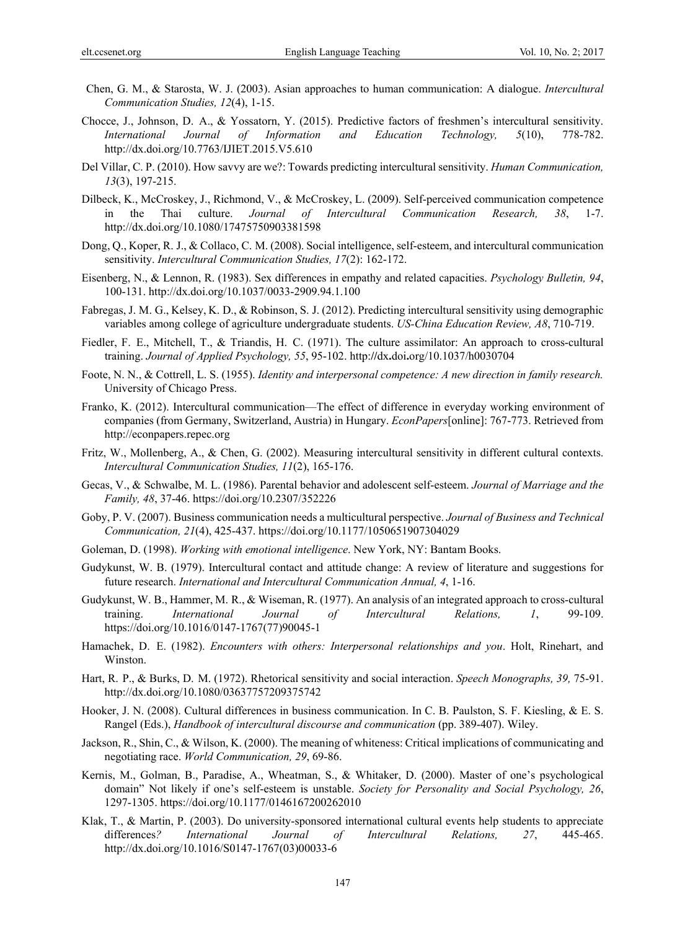- Chen, G. M., & Starosta, W. J. (2003). Asian approaches to human communication: A dialogue. *Intercultural Communication Studies, 12*(4), 1-15.
- Chocce, J., Johnson, D. A., & Yossatorn, Y. (2015). Predictive factors of freshmen's intercultural sensitivity. *International Journal of Information and Education Technology, 5*(10), 778-782. http://dx.doi.org/10.7763/IJIET.2015.V5.610
- Del Villar, C. P. (2010). How savvy are we?: Towards predicting intercultural sensitivity. *Human Communication, 13*(3), 197-215.
- Dilbeck, K., McCroskey, J., Richmond, V., & McCroskey, L. (2009). Self-perceived communication competence in the Thai culture. *Journal of Intercultural Communication Research, 38*, 1-7. http://dx.doi.org/10.1080/17475750903381598
- Dong, Q., Koper, R. J., & Collaco, C. M. (2008). Social intelligence, self-esteem, and intercultural communication sensitivity. *Intercultural Communication Studies, 17*(2): 162-172.
- Eisenberg, N., & Lennon, R. (1983). Sex differences in empathy and related capacities. *Psychology Bulletin, 94*, 100-131. http://dx.doi.org/10.1037/0033-2909.94.1.100
- Fabregas, J. M. G., Kelsey, K. D., & Robinson, S. J. (2012). Predicting intercultural sensitivity using demographic variables among college of agriculture undergraduate students. *US-China Education Review, A8*, 710-719.
- Fiedler, F. E., Mitchell, T., & Triandis, H. C. (1971). The culture assimilator: An approach to cross-cultural training. *Journal of Applied Psychology, 55*, 95-102. http:**//**dx**.**doi**.**org/10.1037/h0030704
- Foote, N. N., & Cottrell, L. S. (1955). *Identity and interpersonal competence: A new direction in family research.* University of Chicago Press.
- Franko, K. (2012). Intercultural communication—The effect of difference in everyday working environment of companies (from Germany, Switzerland, Austria) in Hungary. *EconPapers*[online]: 767-773. Retrieved from http://econpapers.repec.org
- Fritz, W., Mollenberg, A., & Chen, G. (2002). Measuring intercultural sensitivity in different cultural contexts. *Intercultural Communication Studies, 11*(2), 165-176.
- Gecas, V., & Schwalbe, M. L. (1986). Parental behavior and adolescent self-esteem. *Journal of Marriage and the Family, 48*, 37-46. https://doi.org/10.2307/352226
- Goby, P. V. (2007). Business communication needs a multicultural perspective. *Journal of Business and Technical Communication, 21*(4), 425-437. https://doi.org/10.1177/1050651907304029
- Goleman, D. (1998). *Working with emotional intelligence*. New York, NY: Bantam Books.
- Gudykunst, W. B. (1979). Intercultural contact and attitude change: A review of literature and suggestions for future research. *International and Intercultural Communication Annual, 4*, 1-16.
- Gudykunst, W. B., Hammer, M. R., & Wiseman, R. (1977). An analysis of an integrated approach to cross-cultural training. *International Journal of Intercultural Relations, 1*, 99-109. https://doi.org/10.1016/0147-1767(77)90045-1
- Hamachek, D. E. (1982). *Encounters with others: Interpersonal relationships and you*. Holt, Rinehart, and Winston.
- Hart, R. P., & Burks, D. M. (1972). Rhetorical sensitivity and social interaction. *Speech Monographs, 39,* 75-91. http://dx.doi.org/10.1080/03637757209375742
- Hooker, J. N. (2008). Cultural differences in business communication. In C. B. Paulston, S. F. Kiesling, & E. S. Rangel (Eds.), *Handbook of intercultural discourse and communication* (pp. 389-407). Wiley.
- Jackson, R., Shin, C., & Wilson, K. (2000). The meaning of whiteness: Critical implications of communicating and negotiating race. *World Communication, 29*, 69-86.
- Kernis, M., Golman, B., Paradise, A., Wheatman, S., & Whitaker, D. (2000). Master of one's psychological domain" Not likely if one's self-esteem is unstable. *Society for Personality and Social Psychology, 26*, 1297-1305. https://doi.org/10.1177/0146167200262010
- Klak, T., & Martin, P. (2003). Do university-sponsored international cultural events help students to appreciate differences*? International Journal of Intercultural Relations, 27*, 445-465. http://dx.doi.org/10.1016/S0147-1767(03)00033-6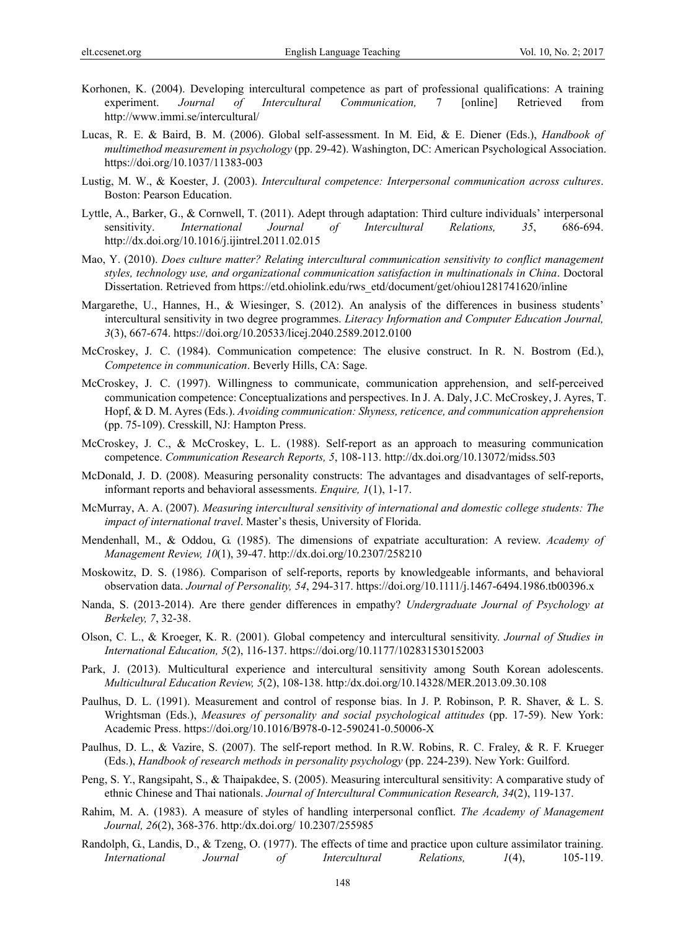- Korhonen, K. (2004). Developing intercultural competence as part of professional qualifications: A training experiment. *Journal of Intercultural Communication,* 7 [online] Retrieved from http://www.immi.se/intercultural/
- Lucas, R. E. & Baird, B. M. (2006). Global self-assessment. In M. Eid, & E. Diener (Eds.), *Handbook of multimethod measurement in psychology* (pp. 29-42). Washington, DC: American Psychological Association. https://doi.org/10.1037/11383-003
- Lustig, M. W., & Koester, J. (2003). *Intercultural competence: Interpersonal communication across cultures*. Boston: Pearson Education.
- Lyttle, A., Barker, G., & Cornwell, T. (2011). Adept through adaptation: Third culture individuals' interpersonal sensitivity. *International Journal of Intercultural Relations, 35*, 686-694. http://dx.doi.org/10.1016/j.ijintrel.2011.02.015
- Mao, Y. (2010). *Does culture matter? Relating intercultural communication sensitivity to conflict management styles, technology use, and organizational communication satisfaction in multinationals in China*. Doctoral Dissertation. Retrieved from https://etd.ohiolink.edu/rws\_etd/document/get/ohiou1281741620/inline
- Margarethe, U., Hannes, H., & Wiesinger, S. (2012). An analysis of the differences in business students' intercultural sensitivity in two degree programmes. *Literacy Information and Computer Education Journal, 3*(3), 667-674. https://doi.org/10.20533/licej.2040.2589.2012.0100
- McCroskey, J. C. (1984). Communication competence: The elusive construct. In R. N. Bostrom (Ed.), *Competence in communication*. Beverly Hills, CA: Sage.
- McCroskey, J. C. (1997). Willingness to communicate, communication apprehension, and self-perceived communication competence: Conceptualizations and perspectives. In J. A. Daly, J.C. McCroskey, J. Ayres, T. Hopf, & D. M. Ayres (Eds.). *Avoiding communication: Shyness, reticence, and communication apprehension* (pp. 75-109). Cresskill, NJ: Hampton Press.
- McCroskey, J. C., & McCroskey, L. L. (1988). Self-report as an approach to measuring communication competence. *Communication Research Reports, 5*, 108-113. http://dx.doi.org/10.13072/midss.503
- McDonald, J. D. (2008). Measuring personality constructs: The advantages and disadvantages of self-reports, informant reports and behavioral assessments. *Enquire, 1*(1), 1-17.
- McMurray, A. A. (2007). *Measuring intercultural sensitivity of international and domestic college students: The impact of international travel*. Master's thesis, University of Florida.
- Mendenhall, M., & Oddou, G. (1985). The dimensions of expatriate acculturation: A review. *Academy of Management Review, 10*(1), 39-47. http://dx.doi.org/10.2307/258210
- Moskowitz, D. S. (1986). Comparison of self-reports, reports by knowledgeable informants, and behavioral observation data. *Journal of Personality, 54*, 294-317. https://doi.org/10.1111/j.1467-6494.1986.tb00396.x
- Nanda, S. (2013-2014). Are there gender differences in empathy? *Undergraduate Journal of Psychology at Berkeley, 7*, 32-38.
- Olson, C. L., & Kroeger, K. R. (2001). Global competency and intercultural sensitivity. *Journal of Studies in International Education, 5*(2), 116-137. https://doi.org/10.1177/102831530152003
- Park, J. (2013). Multicultural experience and intercultural sensitivity among South Korean adolescents. *Multicultural Education Review, 5*(2), 108-138. http:/dx.doi.org/10.14328/MER.2013.09.30.108
- Paulhus, D. L. (1991). Measurement and control of response bias. In J. P. Robinson, P. R. Shaver, & L. S. Wrightsman (Eds.), *Measures of personality and social psychological attitudes* (pp. 17-59). New York: Academic Press. https://doi.org/10.1016/B978-0-12-590241-0.50006-X
- Paulhus, D. L., & Vazire, S. (2007). The self-report method. In R.W. Robins, R. C. Fraley, & R. F. Krueger (Eds.), *Handbook of research methods in personality psychology* (pp. 224-239). New York: Guilford.
- Peng, S. Y., Rangsipaht, S., & Thaipakdee, S. (2005). Measuring intercultural sensitivity: A comparative study of ethnic Chinese and Thai nationals. *Journal of Intercultural Communication Research, 34*(2), 119-137.
- Rahim, M. A. (1983). A measure of styles of handling interpersonal conflict. *The Academy of Management Journal, 26*(2), 368-376. http:/dx.doi.org/ 10.2307/255985
- Randolph, G., Landis, D., & Tzeng, O. (1977). The effects of time and practice upon culture assimilator training. *International Journal of Intercultural Relations, 1*(4), 105-119.